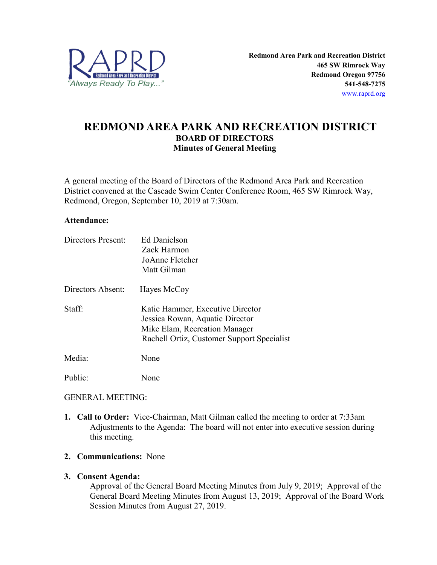

# **REDMOND AREA PARK AND RECREATION DISTRICT BOARD OF DIRECTORS Minutes of General Meeting**

A general meeting of the Board of Directors of the Redmond Area Park and Recreation District convened at the Cascade Swim Center Conference Room, 465 SW Rimrock Way, Redmond, Oregon, September 10, 2019 at 7:30am.

#### **Attendance:**

| <b>Directors Present:</b> | <b>Ed Danielson</b>                        |
|---------------------------|--------------------------------------------|
|                           | Zack Harmon                                |
|                           | JoAnne Fletcher                            |
|                           | Matt Gilman                                |
| Directors Absent:         | Hayes McCoy                                |
| Staff:                    | Katie Hammer, Executive Director           |
|                           | Jessica Rowan, Aquatic Director            |
|                           | Mike Elam, Recreation Manager              |
|                           | Rachell Ortiz, Customer Support Specialist |
| Media:                    | None                                       |
| Public:                   | None                                       |

## GENERAL MEETING:

**1. Call to Order:** Vice-Chairman, Matt Gilman called the meeting to order at 7:33am Adjustments to the Agenda: The board will not enter into executive session during this meeting.

# **2. Communications:** None

## **3. Consent Agenda:**

Approval of the General Board Meeting Minutes from July 9, 2019; Approval of the General Board Meeting Minutes from August 13, 2019; Approval of the Board Work Session Minutes from August 27, 2019.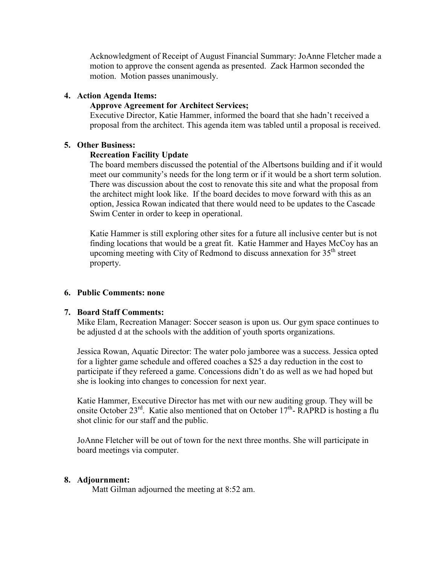Acknowledgment of Receipt of August Financial Summary: JoAnne Fletcher made a motion to approve the consent agenda as presented. Zack Harmon seconded the motion. Motion passes unanimously.

# **4. Action Agenda Items:**

# **Approve Agreement for Architect Services;**

Executive Director, Katie Hammer, informed the board that she hadn't received a proposal from the architect. This agenda item was tabled until a proposal is received.

# **5. Other Business:**

# **Recreation Facility Update**

The board members discussed the potential of the Albertsons building and if it would meet our community's needs for the long term or if it would be a short term solution. There was discussion about the cost to renovate this site and what the proposal from the architect might look like. If the board decides to move forward with this as an option, Jessica Rowan indicated that there would need to be updates to the Cascade Swim Center in order to keep in operational.

Katie Hammer is still exploring other sites for a future all inclusive center but is not finding locations that would be a great fit. Katie Hammer and Hayes McCoy has an upcoming meeting with City of Redmond to discuss annexation for  $35<sup>th</sup>$  street property.

# **6. Public Comments: none**

## **7. Board Staff Comments:**

Mike Elam, Recreation Manager: Soccer season is upon us. Our gym space continues to be adjusted d at the schools with the addition of youth sports organizations.

Jessica Rowan, Aquatic Director: The water polo jamboree was a success. Jessica opted for a lighter game schedule and offered coaches a \$25 a day reduction in the cost to participate if they refereed a game. Concessions didn't do as well as we had hoped but she is looking into changes to concession for next year.

Katie Hammer, Executive Director has met with our new auditing group. They will be onsite October  $23^{rd}$ . Katie also mentioned that on October  $17^{th}$ - RAPRD is hosting a flu shot clinic for our staff and the public.

JoAnne Fletcher will be out of town for the next three months. She will participate in board meetings via computer.

## **8. Adjournment:**

Matt Gilman adjourned the meeting at 8:52 am.